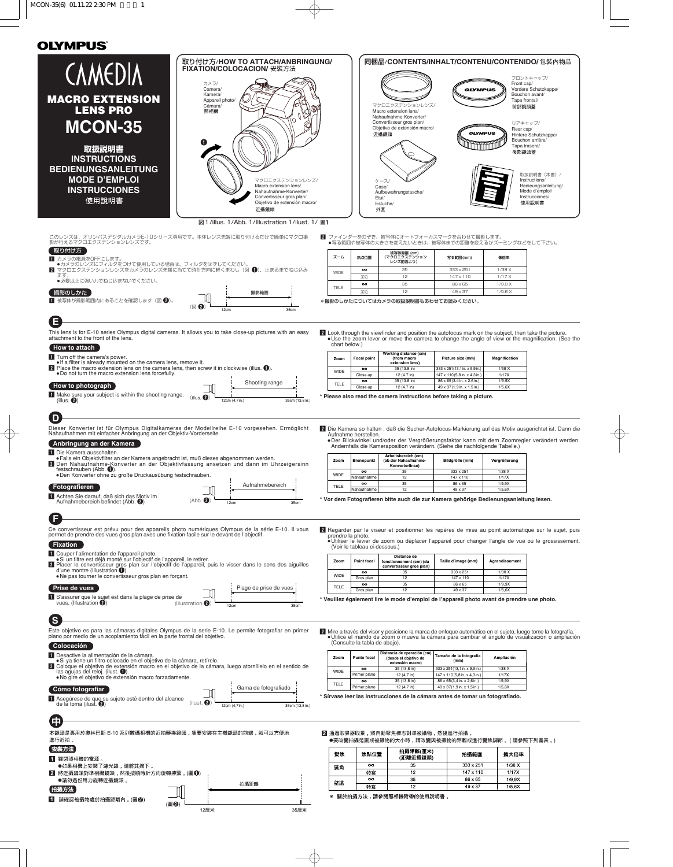|                                                                                                                                                                                        |                            | 取り付け方/HOW TO ATTACH/ANBRINGUNG/<br>FIXATION/COLOCACION/ 安裝方法     |                   |                               | 同梱品/CONTENTS/INHALT/CONTENU/CONTENIDO/包裝內物品                                                                                                                                                                |                                                             |                        |                                                         |
|----------------------------------------------------------------------------------------------------------------------------------------------------------------------------------------|----------------------------|------------------------------------------------------------------|-------------------|-------------------------------|------------------------------------------------------------------------------------------------------------------------------------------------------------------------------------------------------------|-------------------------------------------------------------|------------------------|---------------------------------------------------------|
| <b>CAMEDIA</b>                                                                                                                                                                         | カメラ/                       |                                                                  |                   |                               |                                                                                                                                                                                                            |                                                             | Front cap/             | フロントキャップ/                                               |
|                                                                                                                                                                                        | Camera/<br>Kamera/         |                                                                  |                   |                               |                                                                                                                                                                                                            | <b>OLYMPUS</b>                                              |                        | Vordere Schutzkappe/<br>Bouchon avant/                  |
| <b>MACRO EXTENSION</b><br><b>LENS PRO</b>                                                                                                                                              | Appareil photo/<br>Cámara/ |                                                                  |                   |                               | マクロエクステンションレンズ/                                                                                                                                                                                            |                                                             | Tapa frontal/<br>前部鏡頭蓋 |                                                         |
|                                                                                                                                                                                        | 照相機                        |                                                                  |                   |                               | Macro extension lens/<br>Nahaufnahme-Konverter/<br>Convertisseur gros plan/                                                                                                                                |                                                             |                        |                                                         |
| <b>MCON-35</b>                                                                                                                                                                         |                            |                                                                  |                   |                               | Objetivo de extensión macro/<br>近攝鏡頭                                                                                                                                                                       | <b>OLYMPUS</b>                                              | リアキャップ/<br>Rear cap/   | Hintere Schutzkappe/                                    |
|                                                                                                                                                                                        |                            |                                                                  |                   |                               |                                                                                                                                                                                                            |                                                             | Tapa trasera/          | Bouchon arrière/                                        |
| 取扱説明書<br><b>INSTRUCTIONS</b>                                                                                                                                                           |                            |                                                                  |                   |                               |                                                                                                                                                                                                            |                                                             | 後部鏡頭蓋                  |                                                         |
| <b>BEDIENUNGSANLEITUNG</b>                                                                                                                                                             |                            |                                                                  |                   |                               |                                                                                                                                                                                                            |                                                             |                        |                                                         |
| <b>MODE D'EMPLOI</b>                                                                                                                                                                   |                            | マクロエクステンションレンズ/                                                  |                   |                               | ケース/                                                                                                                                                                                                       |                                                             |                        | 取扱説明書(本書)/<br>Instructions/                             |
| <b>INSTRUCCIONES</b>                                                                                                                                                                   |                            | Macro extension lens/<br>Nahaufnahme-Konverter/                  |                   |                               | Case/<br>Aufbewahrungstasche/                                                                                                                                                                              |                                                             |                        | Bedieungsanleitung/<br>Mode d'emploi/<br>Instrucciones/ |
| 使用說明書                                                                                                                                                                                  |                            | Convertisseur gros plan/<br>Objetivo de extensión macro/<br>近攝鏡頭 |                   | Étui/<br>外套                   | Estuche/                                                                                                                                                                                                   |                                                             |                        | 使用說明書                                                   |
|                                                                                                                                                                                        |                            | 図 1/illus. 1/Abb. 1/Illustration 1/ilust. 1/ 圖1                  |                   |                               |                                                                                                                                                                                                            |                                                             |                        |                                                         |
| このレンズは、オリンパスデジタルカメラE-10シリーズ専用です。本体レンズ先端に取り付けるだけで簡単にマクロ撮                                                                                                                                |                            |                                                                  |                   |                               | ■ ファインダーをのぞき、被写体にオートフォーカスマークを合わせて撮影します。                                                                                                                                                                    |                                                             |                        |                                                         |
| 影が行えるマクロエクステンションレンズです。<br>取り付け方                                                                                                                                                        |                            |                                                                  |                   |                               | ●写る範囲や被写体の大きさを変えたいときは、被写体までの距離を変えるかズーミングなどをして下さい。<br>被写体距離 (cm)                                                                                                                                            |                                                             |                        |                                                         |
| 1 カメラの電源をOFFにします。<br>●カメラのレンズにフィルタをつけて使用している場合は、フィルタをはずしてください。                                                                                                                         |                            |                                                                  | ズーム               | 焦点位置                          | (マクロエクステンション<br>レンズ前面より)                                                                                                                                                                                   | 写る範囲(mm)                                                    | 像倍率                    |                                                         |
| マクロエクステンションレンズをカメラのレンズ先端に当てて時計方向に軽くまわし(図 ●)、止まるまでねじ込み<br>ます。                                                                                                                           |                            |                                                                  | WIDE              | $\infty$<br>至近                | 35<br>12                                                                                                                                                                                                   | 333 x 251<br>147 x 110                                      | 1/38X<br>1/17X         |                                                         |
| ●必要以上に強い力でねじ込まないでください。                                                                                                                                                                 |                            |                                                                  | TELE              | $\infty$<br>至近                | 35<br>12                                                                                                                                                                                                   | 86 x 65<br>49 x 37                                          | 1/9.9 X<br>1/5.6X      |                                                         |
| 撮影のしかた<br>■ 被写体が撮影範囲内にあることを確認します (図 2)。                                                                                                                                                |                            | 撮影範囲                                                             |                   |                               | *撮影のしかたについてはカメラの取扱説明書もあわせてお読みください。                                                                                                                                                                         |                                                             |                        |                                                         |
|                                                                                                                                                                                        | $\circledR$                | 12cm<br>35cm                                                     |                   |                               |                                                                                                                                                                                                            |                                                             |                        |                                                         |
| Е                                                                                                                                                                                      |                            |                                                                  |                   |                               |                                                                                                                                                                                                            |                                                             |                        |                                                         |
| This lens is for E-10 series Olympus digital cameras. It allows you to take close-up pictures with an easy attachment to the front of the lens.                                        |                            |                                                                  | chart below.)     |                               | 2 Look through the viewfinder and position the autofocus mark on the subject, then take the picture.<br>• Use the zoom lever or move the camera to change the angle of view or the magnification. (See the |                                                             |                        |                                                         |
| How to attach<br>1 Turn off the camera's power.                                                                                                                                        |                            |                                                                  | Zoom              | <b>Focal point</b>            | Working distance (cm)<br>(from macro                                                                                                                                                                       | Picture size (mm)                                           | Magnification          |                                                         |
| . If a filter is already mounted on the camera lens, remove it.<br>2 Place the macro extension lens on the camera lens, then screw it in clockwise (illus. $\bigcirc$ ).               |                            |                                                                  | WIDE              | $\infty$                      | extension lens)<br>35 (13.8 in)                                                                                                                                                                            | 333 x 251(13.1 in. x 9.9 in.)                               | $1/38$ X               |                                                         |
| . Do not turn the macro extension lens forcefully.                                                                                                                                     |                            | Shooting range                                                   | <b>TELE</b>       | Close-up<br>$\infty$          | 12 (4.7 in)<br>35 (13.8 in)                                                                                                                                                                                | 147 x 110(5.8 in. x 4.3 in.)<br>86 x 65(3.4 in. x 2.6 in.)  | 1/17X<br>1/9.9X        |                                                         |
| How to photograph<br>I Make sure your subject is within the shooting range.                                                                                                            | (illus. ②)                 |                                                                  |                   | Close-up                      | 12 (4.7 in)<br>* Please also read the camera instructions before taking a picture.                                                                                                                         | 49 x 37(1.9 in. x 1.5 in.)                                  | 1/5.6X                 |                                                         |
| Dieser Konverter ist für Olympus Digitalkameras der Modellreihe E-10 vorgesehen. Ermöglicht                                                                                            |                            |                                                                  |                   |                               |                                                                                                                                                                                                            |                                                             |                        |                                                         |
|                                                                                                                                                                                        |                            |                                                                  |                   |                               |                                                                                                                                                                                                            |                                                             |                        |                                                         |
|                                                                                                                                                                                        |                            |                                                                  |                   |                               |                                                                                                                                                                                                            |                                                             |                        |                                                         |
| Nahaufnahmen mit einfacher Anbringung an der Objektiv-Vorderseite.                                                                                                                     |                            |                                                                  |                   | Aufnahme herstellen.          | 2 Die Kamera so halten, daß die Sucher-Autofocus-Markierung auf das Motiv ausgerichtet ist. Dann die<br>.Der Blickwinkel und/oder der Vergrößerungsfaktor kann mit dem Zoomregler verändert werden.        |                                                             |                        |                                                         |
| Anbringung an der Kamera<br>1 Die Kamera ausschalten.                                                                                                                                  |                            |                                                                  |                   |                               | Andernfalls die Kameraposition verändern. (Siehe die nachfolgende Tabelle.)                                                                                                                                |                                                             |                        |                                                         |
| Falls ein Objektivfilter an der Kamera angebracht ist, muß dieses abgenommen werden.<br>2 Den Nahaufnahme-Konverter an der Objektivfassung ansetzen und dann im Uhrzeigersinn          |                            |                                                                  | Zoom              | <b>Brennpunkt</b>             | Arbeitsbereich (cm)<br>(ab der Nahaufnahme-<br>Konverterlinse)                                                                                                                                             | Bildgröße (mm)                                              | Vergrößerung           |                                                         |
| festschrauben (Abb. $\bigcirc$ ).<br>·Den Konverter ohne zu große Druckausübung festschrauben.                                                                                         |                            |                                                                  | WIDE              | $\infty$<br>Nahaufnahme       | 35<br>12                                                                                                                                                                                                   | 333 x 251<br>147 x 110                                      | 1/38 X<br>1/17X        |                                                         |
| Fotografieren                                                                                                                                                                          |                            | Aufnahmebereich                                                  | TELE              | $\infty$<br>Nahaufnahme       | 35<br>12                                                                                                                                                                                                   | 86 x 65<br>49 x 37                                          | 1/9.9X<br>1/5,6X       |                                                         |
| 1 Achten Sie darauf, daß sich das Motiv im<br>Aufnahmebereich befindet (Abb. 2)                                                                                                        | (Abb. 2)                   | 12cm<br>35cm                                                     |                   |                               | * Vor dem Fotografieren bitte auch die zur Kamera gehörige Bedienungsanleitung lesen.                                                                                                                      |                                                             |                        |                                                         |
|                                                                                                                                                                                        |                            |                                                                  |                   |                               |                                                                                                                                                                                                            |                                                             |                        |                                                         |
| Ce convertisseur est prévu pour des appareils photo numériques Olympus de la série E-10. Il vous                                                                                       |                            |                                                                  |                   |                               | 2 Regarder par le viseur et positionner les repères de mise au point automatique sur le sujet, puis                                                                                                        |                                                             |                        |                                                         |
| permet de prendre des vues gros plan avec une fixation facile sur le devant de l'objectif.                                                                                             |                            |                                                                  | prendre la photo. |                               | • Utiliser le levier de zoom ou déplacer l'appareil pour changer l'angle de vue ou le grossissement                                                                                                        |                                                             |                        |                                                         |
| <b>Fixation</b><br>1 Couper l'alimentation de l'appareil photo.                                                                                                                        |                            |                                                                  |                   | (Voir le tableau ci-dessous.) | Distance de                                                                                                                                                                                                |                                                             |                        |                                                         |
| · Si un filtre est déjà monté sur l'objectif de l'appareil, le retirer.<br>2 Placer le convertisseur gros plan sur l'objectif de l'appareil, puis le visser dans le sens des aiguilles |                            |                                                                  | Zoom              | Point focal                   | fonctionnement (cm) (du<br>convertisseur gros plan)                                                                                                                                                        | Taille d'image (mm)                                         | Agrandissement         |                                                         |
| d'une montre (Illustration $\bigcirc$ ).<br>• Ne pas tourner le convertisseur gros plan en forçant.                                                                                    |                            |                                                                  | WIDE              | $\infty$<br>Gros plan         | 35<br>12                                                                                                                                                                                                   | 333 x 251<br>147 x 110                                      | $1/38$ X<br>1/17X      |                                                         |
| Prise de vues                                                                                                                                                                          |                            | Plage de prise de vues                                           | TELE              | $\infty$<br>Gros plan         | 35<br>12                                                                                                                                                                                                   | 86 x 65<br>49 x 37                                          | 1/9.9X<br>1/5.6X       |                                                         |
| 1 S'assurer que le sujet est dans la plage de prise de<br>vues. (Illustration $\odot$ )                                                                                                | (Illustration $\bullet$ )  | 35cm<br>12cm                                                     |                   |                               | * Veuillez également lire le mode d'emploi de l'appareil photo avant de prendre une photo.                                                                                                                 |                                                             |                        |                                                         |
|                                                                                                                                                                                        |                            |                                                                  |                   |                               |                                                                                                                                                                                                            |                                                             |                        |                                                         |
| <b>S</b><br>Este objetivo es para las cámaras digitales Olympus de la serie E-10. Le permite fotografiar en primer                                                                     |                            |                                                                  |                   |                               | 2 Mire a través del visor y posicione la marca de enfoque automático en el sujeto, luego tome la fotografía.                                                                                               |                                                             |                        |                                                         |
| plano por medio de un acoplamiento fácil en la parte frontal del objetivo.                                                                                                             |                            |                                                                  |                   | (Consulte la tabla de abajo). | · Utilice el mando de zoom o mueva la cámara para cambiar el ángulo de visualización o ampliación                                                                                                          |                                                             |                        |                                                         |
| Colocación<br>1 Desactive la alimentación de la cámara.                                                                                                                                |                            |                                                                  | Zoom              | <b>Punto focal</b>            | Distancia de operación (cm)<br>(desde el objetivo de                                                                                                                                                       | Tamaño de la fotografía                                     | Ampliación             |                                                         |
| ·Si ya tiene un filtro colocado en el objetivo de la cámara, retírelo.<br>2 Coloque el objetivo de extensión macro en el objetivo de la cámara, luego atorníllelo en el sentido de     |                            |                                                                  |                   | $\infty$                      | extensión macro)<br>35 (13,8 in)                                                                                                                                                                           | (mm)<br>333 x 251 (13,1 in. x 9,9 in.)                      | 1/38X                  |                                                         |
| las agujas del reloj. (ilust. $\bigcirc$ ).<br>· No gire el objetivo de extensión macro forzadamente.                                                                                  |                            |                                                                  | WIDE              | Primer plano<br>$\infty$      | 12 (4,7 in)<br>35 (13,8 in)                                                                                                                                                                                | 147 x 110(5,8 in. x 4,3 in.)<br>86 x 65 (3,4 in. x 2,6 in.) | 1/17X<br>1/9,9X        |                                                         |
| Cómo fotografiar                                                                                                                                                                       |                            | Gama de fotografiado                                             | TELE              | Primer plano                  | 12 (4,7 in)                                                                                                                                                                                                | 49 x 37(1,9in. x 1,5in.)                                    | 1/5,6X                 |                                                         |
| 1 Asegúrese de que su sujeto esté dentro del alcance<br>de la toma (ilust. $\langle \rangle$ )                                                                                         | (ilust. $\bullet$          | 12cm (4,7in.)<br>35cm (13.8 in.)                                 |                   |                               | * Sírvase leer las instrucciones de la cámara antes de tomar un fotografiado.                                                                                                                              |                                                             |                        |                                                         |
|                                                                                                                                                                                        |                            |                                                                  |                   |                               |                                                                                                                                                                                                            |                                                             |                        |                                                         |
| G                                                                                                                                                                                      |                            |                                                                  |                   |                               |                                                                                                                                                                                                            |                                                             |                        |                                                         |
| 本鏡頭是專用於奧林巴斯 E-10 系列數碼相機的近拍轉換鏡頭,隻要安裝在主機鏡頭的前端,就可以方便地<br>進行近拍 。                                                                                                                           |                            |                                                                  |                   |                               | 2 通過取景器取景,將自動聚焦標志對準被攝物,然後進行拍攝 。<br>●要改變拍攝范圍或被攝物的大小時,請改變與被攝物的距離或進行變焦調節 。( 請參照下列圖表 。)                                                                                                                        |                                                             |                        |                                                         |
| 安装方法                                                                                                                                                                                   |                            |                                                                  | 變焦                | 焦點位置                          | 拍攝距離(厘米)                                                                                                                                                                                                   | 拍攝範圍                                                        | 擴大倍率                   |                                                         |
| 1 關閉照相機的電源。<br>●如果相機上安裝了濾光鏡,請將其摘下 。                                                                                                                                                    |                            |                                                                  | 廣角                | $\infty$                      | (距離近攝鏡頭)<br>35                                                                                                                                                                                             | 333 x 251                                                   | 1/38X                  |                                                         |
| 2 將近攝鏡頭對準相機鏡頭,然後按順時針方向旋轉擰緊。(圖❶)<br>●請勿過份用力旋轉近攝鏡頭 。                                                                                                                                     |                            |                                                                  |                   | 特寫<br>$\infty$                | 12<br>35                                                                                                                                                                                                   | 147 x 110<br>86 x 65                                        | 1/17X<br>1/9 9X        |                                                         |
| [拍攝方法]                                                                                                                                                                                 |                            | 拍攝距離                                                             | 望遠                | 特寫                            | 12<br>* 關於拍攝方法,請參閱照相機附帶的使用說明書 。                                                                                                                                                                            | 49 x 37                                                     | 1/5.6X                 |                                                         |